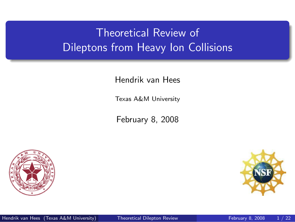# Theoretical Review of Dileptons from Heavy Ion Collisions

Hendrik van Hees

Texas A&M University

February 8, 2008



<span id="page-0-0"></span>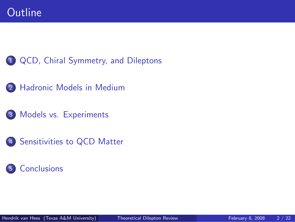[QCD, Chiral Symmetry, and Dileptons](#page-2-0)

- [Hadronic Models in Medium](#page-5-0)
- [Models vs. Experiments](#page-9-0)
- [Sensitivities to QCD Matter](#page-15-0)

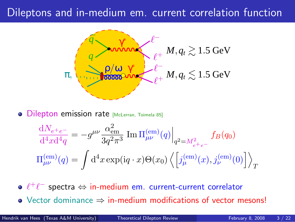### Dileptons and in-medium em. current correlation function



**.** Dilepton emission rate [McLerran, Toimela 85]

<span id="page-2-0"></span>
$$
\frac{dN_{e^+e^-}}{d^4x d^4q} = -g^{\mu\nu} \frac{\alpha_{em}^2}{3q^2\pi^3} \operatorname{Im} \Pi_{\mu\nu}^{(em)}(q) \Big|_{q^2 = M_{e^+e^-}^2} f_B(q_0)
$$
  

$$
\Pi_{\mu\nu}^{(em)}(q) = \int d^4x \exp(iq \cdot x) \Theta(x_0) \left\langle \left[ j_{\mu}^{(em)}(x), j_{\nu}^{(em)}(0) \right] \right\rangle_T
$$

 $\ell^+\ell^-$  spectra ⇔ in-medium em. current-current correlator

• Vector dominance  $\Rightarrow$  in-medium modifications of vector mesons!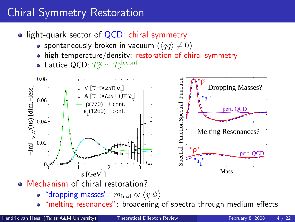# Chiral Symmetry Restoration

- light-quark sector of  $QCD$ : chiral symmetry
	- spontaneously broken in vacuum  $(\langle \bar{q}q \rangle \neq 0)$
	- high temperature/density: restoration of chiral symmetry
	- Lattice QCD:  $T_c^{\chi} \simeq T_c^{\rm deconf}$



- "dropping masses":  $m_{\rm had} \propto \langle \bar{\psi}\psi \rangle$ 
	- "melting resonances": broadening of spectra through medium effects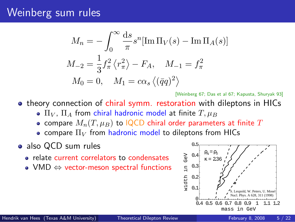### Weinberg sum rules

$$
M_n = -\int_0^\infty \frac{ds}{\pi} s^n [\text{Im}\,\Pi_V(s) - \text{Im}\,\Pi_A(s)]
$$
  

$$
M_{-2} = \frac{1}{3} f_\pi^2 \langle r_\pi^2 \rangle - F_A, \quad M_{-1} = f_\pi^2
$$
  

$$
M_0 = 0, \quad M_1 = c\alpha_s \langle (\bar{q}q)^2 \rangle
$$

[Weinberg 67; Das et al 67; Kapusta, Shuryak 93]

- theory connection of chiral symm. restoration with dileptons in HICs
	- $\bullet$   $\Pi_V$ ,  $\Pi_A$  from chiral hadronic model at finite  $T, \mu_B$
	- compare  $M_n(T, \mu_B)$  to IQCD chiral order parameters at finite T
	- compare  $\Pi_V$  from hadronic model to dileptons from HICs

#### • also QCD sum rules

- relate current correlators to condensates
- VMD  $\Leftrightarrow$  vector-meson spectral functions

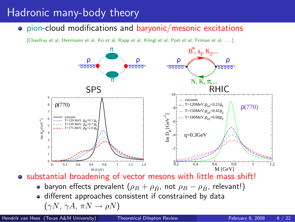### Hadronic many-body theory

pion-cloud modifications and baryonic/mesonic excitations

[Chanfray et al, Herrmann et al, Ko et al, Rapp et al, Klingl et al, Post et al, Friman et al, . . .]



• substantial broadening of vector mesons with little mass shift!

- baryon effects prevalent ( $\rho_B + \rho_{\bar{B}}$ , not  $\rho_B \rho_{\bar{B}}$ , relevant!)
- <span id="page-5-0"></span>• different approaches consistent if constrained by data  $(\gamma N, \gamma A, \pi N \rightarrow \rho N)$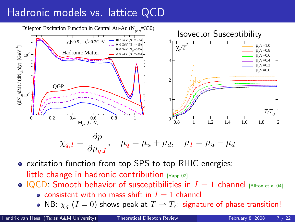# Hadronic models vs. lattice QCD



**e** excitation function from top SPS to top RHIC energies: little change in hadronic contribution [Rapp 02]

- $|QCD|$ : Smooth behavior of susceptibilities in  $I = 1$  channel [Allton et al 04]
	- consistent with no mass shift in  $I = 1$  channel
	- NB:  $\chi_q$  ( $I = 0$ ) shows peak at  $T \to T_c$ : signature of phase transition!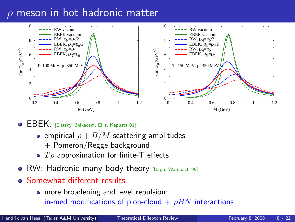### $\rho$  meson in hot hadronic matter



**• EBEK:** [Eletsky, Belkacem, Ellis, Kapusta 01]

- **e** empirical  $\rho + B/M$  scattering amplitudes
	- + Pomeron/Regge background
- $T\rho$  approximation for finite-T effects
- RW: Hadronic many-body theory  $[Range]$  Wambach 99]
- **Somewhat different results** 
	- more broadening and level repulsion: in-med modifications of pion-cloud  $+ \rho BN$  interactions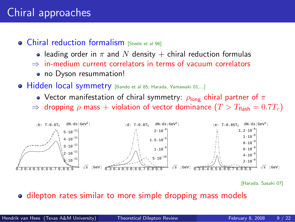### Chiral approaches

- Chiral reduction formalism **Steele et al 961** 
	- leading order in  $\pi$  and N density  $+$  chiral reduction formulas
	- $\Rightarrow$  in-medium current correlators in terms of vacuum correlators
		- no Dyson resummation!
- **Hidden local symmetry** [Bando et al 85; Harada, Yamawaki 01,...]
	- Vector manifestation of chiral symmetry:  $\rho_{\text{long}}$  chiral partner of  $\pi$
	- $\Rightarrow$  dropping  $\rho$  mass + violation of vector dominance  $(T > T_{\text{flash}} = 0.7T_c)$



[Harada, Sasaki 07]

#### • dilepton rates similar to more simple dropping mass models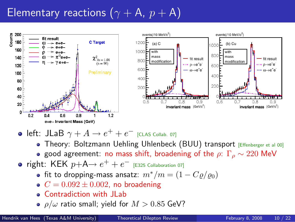# Elementary reactions ( $\gamma + A$ ,  $p + A$ )



- $\mathsf{left} \colon \mathsf{JLaB}\; \gamma + A \mathbin{\rightarrow} e^+ + e^-$  [CLAS Collab. 07]
	- **Theory: Boltzmann Uehling Uhlenbeck (BUU) transport [Effenberger et al 00]**
	- **•** good agreement: no mass shift, broadening of the  $\rho$ :  $\Gamma_{\rho} \sim 220$  MeV
- <span id="page-9-0"></span>right: KEK  $p+A \rightarrow e^+ + e^-$  [E325 Collaboration 07]
	- fit to dropping-mass ansatz:  $m^*/m = (1 C\rho/\rho_0)$
	- $C = 0.092 \pm 0.002$ , no broadening
	- Contradiction with JLab
	- $\rho/\omega$  ratio small; yield for  $M > 0.85$  GeV?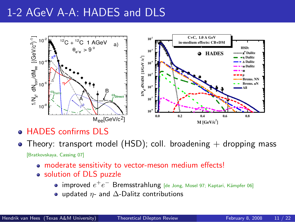### 1-2 AGeV A-A: HADES and DLS



- HADES confirms DLS
- Theory: transport model (HSD); coll. broadening  $+$  dropping mass [Bratkovskaya, Cassing 07]
	- moderate sensitivity to vector-meson medium effects!
	- solution of DLS puzzle
		- $\mathsf{improved}\ e^+e^-\ \mathsf{Bremsstrahlung}\ [$ de Jong, Mosel 97; Kaptari, Kämpfer 06]
		- updated  $η$  and  $Δ$ -Dalitz contributions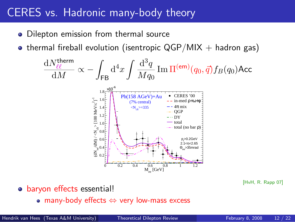### CERES vs. Hadronic many-body theory

- Dilepton emission from thermal source
- thermal fireball evolution (isentropic  $QGP/MIX +$  hadron gas)

$$
\frac{dN_{\ell\ell}^{\text{therm}}}{dM} \propto -\int_{\text{FB}} d^4x \int \frac{d^3q}{Mq_0} \operatorname{Im} \Pi^{(\text{em})}(q_0, \vec{q}) f_B(q_0) \text{Acc}
$$
\n
$$
\sum_{\substack{\overline{i_0} \text{ odd} \\ \overline{2} \\ \overline{3} \\ \overline{4} \\ \overline{5} \\ \overline{7} \\ \overline{8} \\ \overline{9} \\ \overline{10} \\ \overline{10} \\ \overline{10} \\ \overline{110} \\ \overline{120} \\ \overline{130} \\ \overline{140} \\ \overline{150} \\ \overline{160} \\ \overline{180} \\ \overline{190} \\ \overline{190} \\ \overline{100} \\ \overline{100} \\ \overline{100} \\ \overline{100} \\ \overline{100} \\ \overline{100} \\ \overline{100} \\ \overline{100} \\ \overline{100} \\ \overline{100} \\ \overline{100} \\ \overline{100} \\ \overline{100} \\ \overline{100} \\ \overline{100} \\ \overline{100} \\ \overline{100} \\ \overline{100} \\ \overline{100} \\ \overline{100} \\ \overline{100} \\ \overline{100} \\ \overline{100} \\ \overline{100} \\ \overline{100} \\ \overline{100} \\ \overline{100} \\ \overline{100} \\ \overline{100} \\ \overline{100} \\ \overline{100} \\ \overline{100} \\ \overline{100} \\ \overline{100} \\ \overline{100} \\ \overline{100} \\ \overline{100} \\ \overline{100} \\ \overline{100} \\ \overline{100} \\ \overline{100} \\ \overline{100} \\ \overline{100} \\ \overline{100} \\ \overline{100} \\ \overline{100} \\ \overline{100} \\ \overline{100} \\ \overline{100} \\ \overline{100} \\ \overline{100} \\ \overline{100} \\ \overline{100} \\ \overline{100} \\ \overline{1
$$

[HvH, R. Rapp 07]

- o baryon effects essential!
	- many-body effects ⇔ very low-mass excess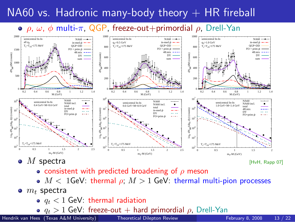## NA60 vs. Hadronic many-body theory  $+$  HR fireball

#### $\circ$   $\rho$ ,  $\omega$ ,  $\phi$  multi- $\pi$ , QGP, freeze-out+primordial  $\rho$ , Drell-Yan



M spectra [HvH, Rapp 07]

- **consistent with predicted broadening of**  $\rho$  **meson**
- $M < 1$ GeV: thermal  $\rho$ ;  $M > 1$  GeV: thermal multi-pion processes
- $\bullet$   $m_t$  spectra
	- $q_t < 1$  GeV: thermal radiation
	- $q_t > 1$  GeV: freeze-out  $+$  hard primordial  $\rho$ , Drell-Yan es (Texas A&M University) **Frequencial Dilenton Review**

Hendrik van Hees (Texas A&M University) [Theoretical Dilepton Review](#page-0-0) February 8, 2008 13 / 22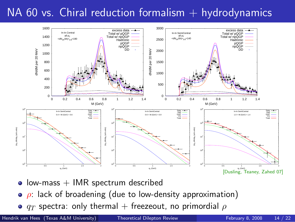### $NA$  60 vs. Chiral reduction formalism  $+$  hydrodynamics



- $\bullet$  low-mass  $+$  IMR spectrum described
- $\bullet$   $\rho$ : lack of broadening (due to low-density approximation)
- $\bullet$   $q_T$  spectra: only thermal + freezeout, no primordial  $\rho$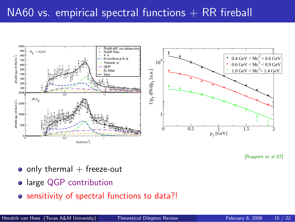### $N_A$ 60 vs. empirical spectral functions  $+$  RR fireball



[Ruppert et al 07]

- $\bullet$  only thermal  $+$  freeze-out
- **•** large QGP contribution
- sensitivity of spectral functions to data?!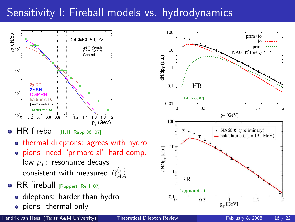### Sensitivity I: Fireball models vs. hydrodynamics



 $\bullet$  HR fireball  $[HVHH, Rapp 06, 07]$ 

- thermal dileptons: agrees with hydro
- pions: need "primordial" hard comp. low  $p_T$ : resonance decays consistent with measured  $R^{(\pi)}_{AA}$ AA
- **RR** fireball [Ruppert, Renk 07]
	- dileptons: harder than hydro
	- pions: thermal only

 $0.01 \begin{array}{c} 0.01 \\ 0.01 \end{array}$ 

 $10<sup>c</sup>$ 

10 dN/dp<sub>r</sub>[a.u.]

 $0.1\frac{1}{0}$ 

[HvH, Rapp 07] HR

 $\overline{\bullet}$ 

 $\mathbf{F}^{\top} \mathbf{F}^{\top}$ 

[Ruppert, Renk 07] RR

<span id="page-15-0"></span> $0.5$ 

0.1

 $\frac{d}{dx}$  $T$  (a.u.)

1

10

100

$$
\begin{array}{c|c}\n & & \\
\hline\n & & \\
\hline\n & p_{T}[\text{GeV}] & \\
\hline\n\end{array}
$$
 **February 8, 2008 16** / 2

0 0.5 1 1.5 2

prim+fo fo prim NA60  $\pi$ <sup>-</sup> (prel.)

 $p_T$  (GeV)

• NA60 $\pi$  (preliminary)

calculation  $(T<sub>n</sub> = 135 \text{ MeV})$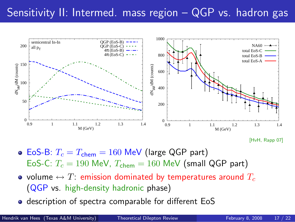### Sensitivity II: Intermed. mass region – QGP vs. hadron gas



<sup>[</sup>HvH, Rapp 07]

- $\bullet$  EoS-B:  $T_c = T_{chem} = 160$  MeV (large QGP part) EoS-C:  $T_c = 190$  MeV,  $T_{chem} = 160$  MeV (small QGP part)
- volume  $\leftrightarrow T$ : emission dominated by temperatures around  $T_c$ (QGP vs. high-density hadronic phase)
- **o** description of spectra comparable for different EoS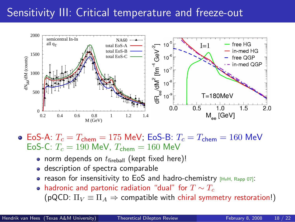### Sensitivity III: Critical temperature and freeze-out



 $\bullet$  EoS-A:  $T_c = T_{\rm chem} = 175$  MeV; EoS-B:  $T_c = T_{\rm chem} = 160$  MeV EoS-C:  $T_c = 190$  MeV,  $T_{chem} = 160$  MeV

- norm depends on  $t_{\text{fireball}}$  (kept fixed here)!
- description of spectra comparable
- **•** reason for insensitivity to EoS and hadro-chemistry  $HvH$ ,  $Rapp 07$ :
- hadronic and partonic radiation "dual" for  $T \sim T_c$ (pQCD:  $\Pi_V \equiv \Pi_A \Rightarrow$  compatible with chiral symmetry restoration!)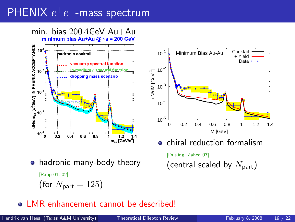# $PHENIX$   $e^+e^-$ -mass spectrum

min. bias  $200A$ GeV Au+Au minimum bias  $Au+Au$  @  $\sqrt{s}$  = 200 GeV





Minimum Bias Au-Au Cocktail

+ Yield

• hadronic many-body theory

[Rapp 01, 02]

(for  $N_{\text{part}} = 125$ )

### • LMR enhancement cannot be described!

 $10^{-1}$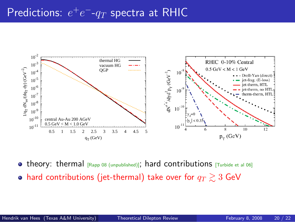# Predictions:  $e^+e^-\text{-}q_T$  spectra at RHIC



**• theory: thermal**  $_{[Rapp 08 (unpublished)]$ ; hard contributions  $_{[Turbide et al 06]}$ 

• hard contributions (jet-thermal) take over for  $q_T \gtrsim 3$  GeV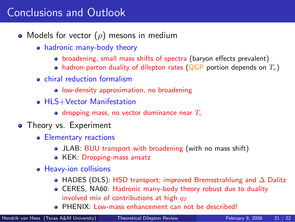## Conclusions and Outlook

- Models for vector  $(\rho)$  mesons in medium
	- hadronic many-body theory
		- broadening, small mass shifts of spectra (baryon effects prevalent)
		- hadron-parton duality of dilepton rates (QGP portion depends on  $T_c$ )
	- **e** chiral reduction formalism
		- low-density approximation, no broadening
	- **HI S+Vector Manifestation** 
		- dropping mass, no vector dominance near  $T_c$
- <span id="page-20-0"></span>• Theory vs. Experiment
	- Elementary reactions
		- JLAB: BUU transport with broadening (with no mass shift)
		- KEK: Dropping-mass ansatz
	- Heavy-ion collisions
		- HADES (DLS): HSD transport; improved Bremsstrahlung and ∆ Dalitz
		- CERES, NA60: Hadronic many-body theory robust due to duality involved mix of contributions at high  $q_T$
		- **e** PHENIX: Low-mass enhancement can not be described!